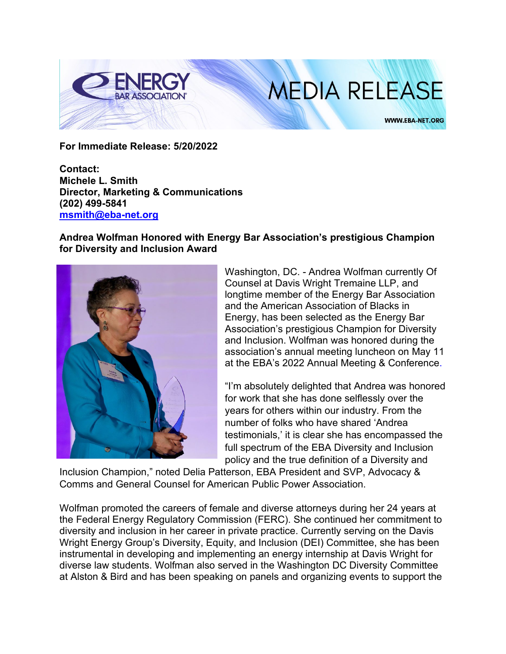

## **MEDIA RELEASE**

**WWW.EBA-NET.ORG** 

**For Immediate Release: 5/20/2022**

**Contact: Michele L. Smith Director, Marketing & Communications (202) 499-5841 [msmith@eba-net.org](mailto:msmith@eba-net.org)**

## **Andrea Wolfman Honored with Energy Bar Association's prestigious Champion for Diversity and Inclusion Award**



Washington, DC. - Andrea Wolfman currently Of Counsel at Davis Wright Tremaine LLP, and longtime member of the Energy Bar Association and the American Association of Blacks in Energy, has been selected as the Energy Bar Association's prestigious Champion for Diversity and Inclusion. Wolfman was honored during the association's annual meeting luncheon on May 11 at the EBA's 2022 Annual Meeting & Conference.

"I'm absolutely delighted that Andrea was honored for work that she has done selflessly over the years for others within our industry. From the number of folks who have shared 'Andrea testimonials,' it is clear she has encompassed the full spectrum of the EBA Diversity and Inclusion policy and the true definition of a Diversity and

Inclusion Champion," noted Delia Patterson, EBA President and SVP, Advocacy & Comms and General Counsel for American Public Power Association.

Wolfman promoted the careers of female and diverse attorneys during her 24 years at the Federal Energy Regulatory Commission (FERC). She continued her commitment to diversity and inclusion in her career in private practice. Currently serving on the Davis Wright Energy Group's Diversity, Equity, and Inclusion (DEI) Committee, she has been instrumental in developing and implementing an energy internship at Davis Wright for diverse law students. Wolfman also served in the Washington DC Diversity Committee at Alston & Bird and has been speaking on panels and organizing events to support the